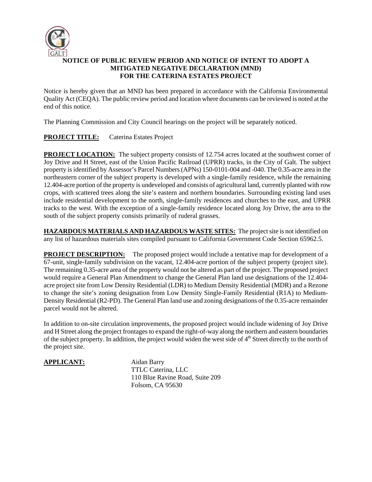

## **NOTICE OF PUBLIC REVIEW PERIOD AND NOTICE OF INTENT TO ADOPT A MITIGATED NEGATIVE DECLARATION (MND) FOR THE CATERINA ESTATES PROJECT**

Notice is hereby given that an MND has been prepared in accordance with the California Environmental Quality Act (CEQA). The public review period and location where documents can be reviewed is noted at the end of this notice.

The Planning Commission and City Council hearings on the project will be separately noticed.

## **PROJECT TITLE:** Caterina Estates Project

**PROJECT LOCATION:** The subject property consists of 12.754 acres located at the southwest corner of Joy Drive and H Street, east of the Union Pacific Railroad (UPRR) tracks, in the City of Galt. The subject property is identified by Assessor's Parcel Numbers (APNs) 150-0101-004 and -040. The 0.35-acre area in the northeastern corner of the subject property is developed with a single-family residence, while the remaining 12.404-acre portion of the property is undeveloped and consists of agricultural land, currently planted with row crops, with scattered trees along the site's eastern and northern boundaries. Surrounding existing land uses include residential development to the north, single-family residences and churches to the east, and UPRR tracks to the west. With the exception of a single-family residence located along Joy Drive, the area to the south of the subject property consists primarily of ruderal grasses.

**HAZARDOUS MATERIALS AND HAZARDOUS WASTE SITES:** The project site is not identified on any list of hazardous materials sites compiled pursuant to California Government Code Section 65962.5.

**PROJECT DESCRIPTION:** The proposed project would include a tentative map for development of a 67-unit, single-family subdivision on the vacant, 12.404-acre portion of the subject property (project site). The remaining 0.35-acre area of the property would not be altered as part of the project. The proposed project would require a General Plan Amendment to change the General Plan land use designations of the 12.404 acre project site from Low Density Residential (LDR) to Medium Density Residential (MDR) and a Rezone to change the site's zoning designation from Low Density Single-Family Residential (R1A) to Medium-Density Residential (R2-PD). The General Plan land use and zoning designations of the 0.35-acre remainder parcel would not be altered.

In addition to on-site circulation improvements, the proposed project would include widening of Joy Drive and H Street along the project frontages to expand the right-of-way along the northern and eastern boundaries of the subject property. In addition, the project would widen the west side of 4<sup>th</sup> Street directly to the north of the project site.

## **APPLICANT:** Aidan Barry

TTLC Caterina, LLC 110 Blue Ravine Road, Suite 209 Folsom, CA 95630